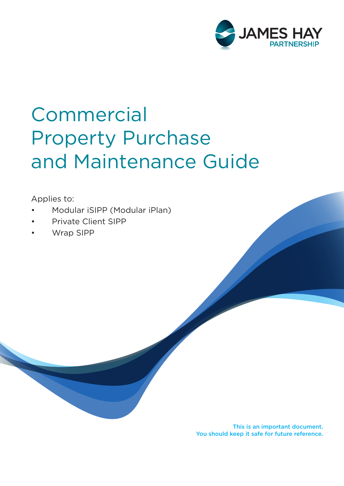

# Commercial Property Purchase and Maintenance Guide

Applies to:

- Modular iSIPP (Modular iPlan)
- Private Client SIPP
- Wrap SIPP

This is an important document. You should keep it safe for future reference.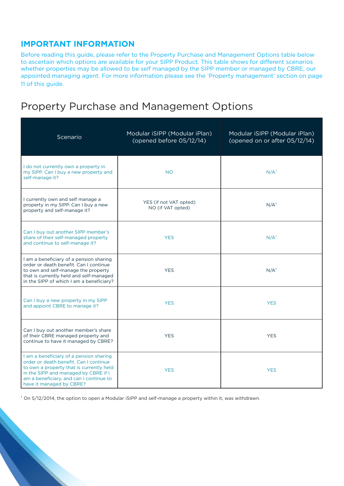## **IMPORTANT INFORMATION**

Before reading this guide, please refer to the Property Purchase and Management Options table below to ascertain which options are available for your SIPP Product. This table shows for different scenarios whether properties may be allowed to be self managed by the SIPP member or managed by CBRE, our appointed managing agent. For more information please see the 'Property management' section on page 11 of this guide.

## Property Purchase and Management Options

| Scenario                                                                                                                                                                                                                                     | Modular iSIPP (Modular iPlan)<br>(opened before 05/12/14) | Modular iSIPP (Modular iPlan)<br>(opened on or after 05/12/14) |
|----------------------------------------------------------------------------------------------------------------------------------------------------------------------------------------------------------------------------------------------|-----------------------------------------------------------|----------------------------------------------------------------|
| I do not currently own a property in<br>my SIPP. Can I buy a new property and<br>self-manage it?                                                                                                                                             | <b>NO</b>                                                 | N/A <sup>1</sup>                                               |
| I currently own and self manage a<br>property in my SIPP. Can I buy a new<br>property and self-manage it?                                                                                                                                    | YES (if not VAT opted)<br>NO (if VAT opted)               | N/A <sup>1</sup>                                               |
| Can I buy out another SIPP member's<br>share of their self-managed property<br>and continue to self-manage it?                                                                                                                               | <b>YES</b>                                                | N/A <sup>1</sup>                                               |
| I am a beneficiary of a pension sharing<br>order or death benefit. Can I continue<br>to own and self-manage the property<br>that is currently held and self-managed<br>in the SIPP of which I am a beneficiary?                              | <b>YES</b>                                                | N/A <sup>1</sup>                                               |
| Can I buy a new property in my SIPP<br>and appoint CBRE to manage it?                                                                                                                                                                        | <b>YES</b>                                                | <b>YES</b>                                                     |
| Can I buy out another member's share<br>of their CBRE managed property and<br>continue to have it managed by CBRE?                                                                                                                           | <b>YES</b>                                                | <b>YES</b>                                                     |
| I am a beneficiary of a pension sharing<br>order or death benefit. Can I continue<br>to own a property that is currently held<br>in the SIPP and managed by CBRE if I<br>am a beneficiary, and can I continue to<br>have it managed by CBRE? | <b>YES</b>                                                | <b>YES</b>                                                     |

 $1$  On 5/12/2014, the option to open a Modular iSIPP and self-manage a property within it, was withdrawn.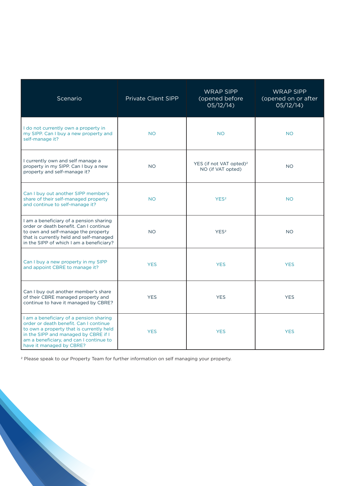| Scenario                                                                                                                                                                                                                                     | <b>Private Client SIPP</b> | <b>WRAP SIPP</b><br>(opened before<br>05/12/14           | <b>WRAP SIPP</b><br>(opened on or after<br>05/12/14 |
|----------------------------------------------------------------------------------------------------------------------------------------------------------------------------------------------------------------------------------------------|----------------------------|----------------------------------------------------------|-----------------------------------------------------|
| I do not currently own a property in<br>my SIPP. Can I buy a new property and<br>self-manage it?                                                                                                                                             | <b>NO</b>                  | <b>NO</b>                                                | <b>NO</b>                                           |
| I currently own and self manage a<br>property in my SIPP. Can I buy a new<br>property and self-manage it?                                                                                                                                    | <b>NO</b>                  | YES (if not VAT opted) <sup>2</sup><br>NO (if VAT opted) | <b>NO</b>                                           |
| Can I buy out another SIPP member's<br>share of their self-managed property<br>and continue to self-manage it?                                                                                                                               | <b>NO</b>                  | YES <sup>2</sup>                                         | <b>NO</b>                                           |
| I am a beneficiary of a pension sharing<br>order or death benefit. Can I continue<br>to own and self-manage the property<br>that is currently held and self-managed<br>in the SIPP of which I am a beneficiary?                              | <b>NO</b>                  | YES <sup>2</sup>                                         | <b>NO</b>                                           |
| Can I buy a new property in my SIPP<br>and appoint CBRE to manage it?                                                                                                                                                                        | <b>YES</b>                 | <b>YES</b>                                               | <b>YES</b>                                          |
| Can I buy out another member's share<br>of their CBRE managed property and<br>continue to have it managed by CBRE?                                                                                                                           | <b>YES</b>                 | <b>YES</b>                                               | <b>YES</b>                                          |
| I am a beneficiary of a pension sharing<br>order or death benefit. Can I continue<br>to own a property that is currently held<br>in the SIPP and managed by CBRE if I<br>am a beneficiary, and can I continue to<br>have it managed by CBRE? | <b>YES</b>                 | <b>YES</b>                                               | <b>YES</b>                                          |

2 Please speak to our Property Team for further information on self managing your property.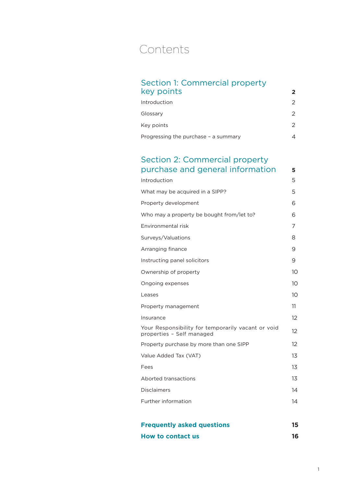# Contents

| Section 1: Commercial property       |               |
|--------------------------------------|---------------|
| key points                           | 2             |
| Introduction                         | 2             |
| Glossary                             | $\mathcal{P}$ |
| Key points                           | $\mathcal{P}$ |
| Progressing the purchase - a summary |               |

## Section 2: Commercial property purchase and general information **5**

| Introduction                                                                    | 5  |
|---------------------------------------------------------------------------------|----|
| What may be acquired in a SIPP?                                                 | 5  |
| Property development                                                            | 6  |
| Who may a property be bought from/let to?                                       | 6  |
| Environmental risk                                                              | 7  |
| Surveys/Valuations                                                              | 8  |
| Arranging finance                                                               | 9  |
| Instructing panel solicitors                                                    | 9  |
| Ownership of property                                                           | 10 |
| Ongoing expenses                                                                | 10 |
| Leases                                                                          | 10 |
| Property management                                                             | 11 |
| Insurance                                                                       | 12 |
| Your Responsibility for temporarily vacant or void<br>properties - Self managed | 12 |
| Property purchase by more than one SIPP                                         | 12 |
| Value Added Tax (VAT)                                                           | 13 |
| Fees                                                                            | 13 |
| Aborted transactions                                                            | 13 |
| Disclaimers                                                                     | 14 |
| Further information                                                             | 14 |
|                                                                                 |    |

| <b>Frequently asked questions</b> | 15 |
|-----------------------------------|----|
| How to contact us                 | 16 |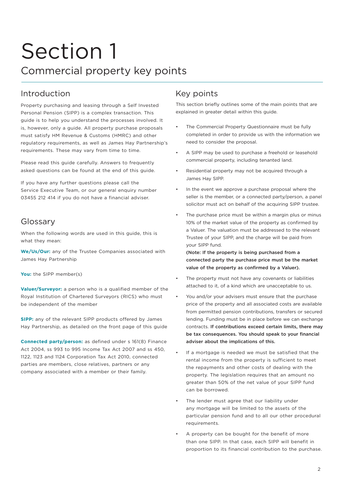# Section 1 Commercial property key points

## Introduction

Property purchasing and leasing through a Self Invested Personal Pension (SIPP) is a complex transaction. This guide is to help you understand the processes involved. It is, however, only a guide. All property purchase proposals must satisfy HM Revenue & Customs (HMRC) and other regulatory requirements, as well as James Hay Partnership's requirements. These may vary from time to time.

Please read this guide carefully. Answers to frequently asked questions can be found at the end of this guide.

If you have any further questions please call the Service Executive Team, or our general enquiry number 03455 212 414 if you do not have a financial adviser.

## Glossary

When the following words are used in this guide, this is what they mean:

**We/Us/Our:** any of the Trustee Companies associated with James Hay Partnership

**You:** the SIPP member(s)

**Valuer/Surveyor:** a person who is a qualified member of the Royal Institution of Chartered Surveyors (RICS) who must be independent of the member

**SIPP:** any of the relevant SIPP products offered by James Hay Partnership, as detailed on the front page of this guide

**Connected party/person:** as defined under s 161(8) Finance Act 2004, ss 993 to 995 Income Tax Act 2007 and ss 450, 1122, 1123 and 1124 Corporation Tax Act 2010, connected parties are members, close relatives, partners or any company associated with a member or their family.

## Key points

This section briefly outlines some of the main points that are explained in greater detail within this guide.

- The Commercial Property Questionnaire must be fully completed in order to provide us with the information we need to consider the proposal.
- A SIPP may be used to purchase a freehold or leasehold commercial property, including tenanted land.
- Residential property may not be acquired through a James Hay SIPP.
- In the event we approve a purchase proposal where the seller is the member, or a connected party/person, a panel solicitor must act on behalf of the acquiring SIPP trustee.
- The purchase price must be within a margin plus or minus 10% of the market value of the property as confirmed by a Valuer. The valuation must be addressed to the relevant Trustee of your SIPP, and the charge will be paid from your SIPP fund.

(Note: If the property is being purchased from a connected party the purchase price must be the market value of the property as confirmed by a Valuer).

- The property must not have any covenants or liabilities attached to it, of a kind which are unacceptable to us.
- You and/or your advisers must ensure that the purchase price of the property and all associated costs are available from permitted pension contributions, transfers or secured lending. Funding must be in place before we can exchange contracts. If contributions exceed certain limits, there may be tax consequences. You should speak to your financial adviser about the implications of this.
- If a mortgage is needed we must be satisfied that the rental income from the property is sufficient to meet the repayments and other costs of dealing with the property. The legislation requires that an amount no greater than 50% of the net value of your SIPP fund can be borrowed.
- The lender must agree that our liability under any mortgage will be limited to the assets of the particular pension fund and to all our other procedural requirements.
- A property can be bought for the benefit of more than one SIPP. In that case, each SIPP will benefit in proportion to its financial contribution to the purchase.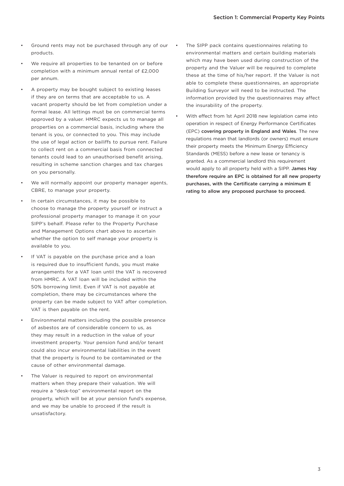- Ground rents may not be purchased through any of our products.
- We require all properties to be tenanted on or before completion with a minimum annual rental of £2,000 per annum.
- A property may be bought subject to existing leases if they are on terms that are acceptable to us. A vacant property should be let from completion under a formal lease. All lettings must be on commercial terms approved by a valuer. HMRC expects us to manage all properties on a commercial basis, including where the tenant is you, or connected to you. This may include the use of legal action or bailiffs to pursue rent. Failure to collect rent on a commercial basis from connected tenants could lead to an unauthorised benefit arising, resulting in scheme sanction charges and tax charges on you personally.
- We will normally appoint our property manager agents, CBRE, to manage your property.
- In certain circumstances, it may be possible to choose to manage the property yourself or instruct a professional property manager to manage it on your SIPP's behalf. Please refer to the Property Purchase and Management Options chart above to ascertain whether the option to self manage your property is available to you.
- If VAT is payable on the purchase price and a loan is required due to insufficient funds, you must make arrangements for a VAT loan until the VAT is recovered from HMRC. A VAT loan will be included within the 50% borrowing limit. Even if VAT is not payable at completion, there may be circumstances where the property can be made subject to VAT after completion. VAT is then payable on the rent.
- Environmental matters including the possible presence of asbestos are of considerable concern to us, as they may result in a reduction in the value of your investment property. Your pension fund and/or tenant could also incur environmental liabilities in the event that the property is found to be contaminated or the cause of other environmental damage.
- The Valuer is required to report on environmental matters when they prepare their valuation. We will require a "desk-top" environmental report on the property, which will be at your pension fund's expense, and we may be unable to proceed if the result is unsatisfactory.
- The SIPP pack contains questionnaires relating to environmental matters and certain building materials which may have been used during construction of the property and the Valuer will be required to complete these at the time of his/her report. If the Valuer is not able to complete these questionnaires, an appropriate Building Surveyor will need to be instructed. The information provided by the questionnaires may affect the insurability of the property.
- With effect from 1st April 2018 new legislation came into operation in respect of Energy Performance Certificates (EPC) covering property in England and Wales. The new regulations mean that landlords (or owners) must ensure their property meets the Minimum Energy Efficiency Standards (MESS) before a new lease or tenancy is granted. As a commercial landlord this requirement would apply to all property held with a SIPP. James Hay therefore require an EPC is obtained for all new property purchases, with the Certificate carrying a minimum E rating to allow any proposed purchase to proceed.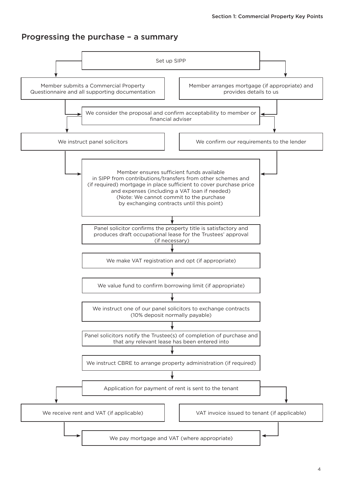## Progressing the purchase – a summary

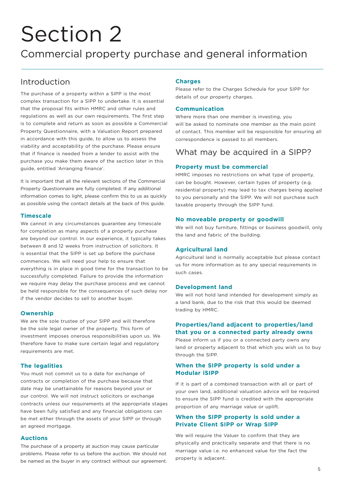# Section 2

Commercial property purchase and general information

## Introduction

The purchase of a property within a SIPP is the most complex transaction for a SIPP to undertake. It is essential that the proposal fits within HMRC and other rules and regulations as well as our own requirements. The first step is to complete and return as soon as possible a Commercial Property Questionnaire, with a Valuation Report prepared in accordance with this guide, to allow us to assess the viability and acceptability of the purchase. Please ensure that if finance is needed from a lender to assist with the purchase you make them aware of the section later in this guide, entitled 'Arranging finance'.

It is important that all the relevant sections of the Commercial Property Questionnaire are fully completed. If any additional information comes to light, please confirm this to us as quickly as possible using the contact details at the back of this guide.

## **Timescale**

We cannot in any circumstances guarantee any timescale for completion as many aspects of a property purchase are beyond our control. In our experience, it typically takes between 8 and 12 weeks from instruction of solicitors. It is essential that the SIPP is set up before the purchase commences. We will need your help to ensure that everything is in place in good time for the transaction to be successfully completed. Failure to provide the information we require may delay the purchase process and we cannot be held responsible for the consequences of such delay nor if the vendor decides to sell to another buyer.

## **Ownership**

We are the sole trustee of your SIPP and will therefore be the sole legal owner of the property. This form of investment imposes onerous responsibilities upon us. We therefore have to make sure certain legal and regulatory requirements are met.

## **The legalities**

You must not commit us to a date for exchange of contracts or completion of the purchase because that date may be unattainable for reasons beyond your or our control. We will not instruct solicitors or exchange contracts unless our requirements at the appropriate stages have been fully satisfied and any financial obligations can be met either through the assets of your SIPP or through an agreed mortgage.

## **Auctions**

The purchase of a property at auction may cause particular problems. Please refer to us before the auction. We should not be named as the buyer in any contract without our agreement.

## **Charges**

Please refer to the Charges Schedule for your SIPP for details of our property charges.

## **Communication**

Where more than one member is investing, you will be asked to nominate one member as the main point of contact. This member will be responsible for ensuring all correspondence is passed to all members.

## What may be acquired in a SIPP?

## **Property must be commercial**

HMRC imposes no restrictions on what type of property, can be bought. However, certain types of property (e.g. residential property) may lead to tax charges being applied to you personally and the SIPP. We will not purchase such taxable property through the SIPP fund.

## **No moveable property or goodwill**

We will not buy furniture, fittings or business goodwill, only the land and fabric of the building.

## **Agricultural land**

Agricultural land is normally acceptable but please contact us for more information as to any special requirements in such cases.

## **Development land**

We will not hold land intended for development simply as a land bank, due to the risk that this would be deemed trading by HMRC.

## **Properties/land adjacent to properties/land that you or a connected party already owns**

Please inform us if you or a connected party owns any land or property adjacent to that which you wish us to buy through the SIPP.

## **When the SIPP property is sold under a Modular iSIPP**

If it is part of a combined transaction with all or part of your own land, additional valuation advice will be required to ensure the SIPP fund is credited with the appropriate proportion of any marriage value or uplift.

## **When the SIPP property is sold under a Private Client SIPP or Wrap SIPP**

We will require the Valuer to confirm that they are physically and practically separate and that there is no marriage value i.e. no enhanced value for the fact the property is adjacent.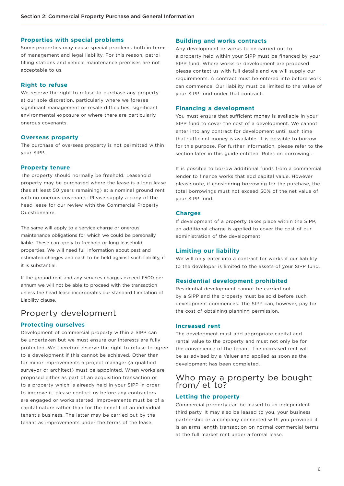## **Properties with special problems**

Some properties may cause special problems both in terms of management and legal liability. For this reason, petrol filling stations and vehicle maintenance premises are not acceptable to us.

## **Right to refuse**

We reserve the right to refuse to purchase any property at our sole discretion, particularly where we foresee significant management or resale difficulties, significant environmental exposure or where there are particularly onerous covenants.

#### **Overseas property**

The purchase of overseas property is not permitted within your SIPP.

#### **Property tenure**

The property should normally be freehold. Leasehold property may be purchased where the lease is a long lease (has at least 50 years remaining) at a nominal ground rent with no onerous covenants. Please supply a copy of the head lease for our review with the Commercial Property Questionnaire.

The same will apply to a service charge or onerous maintenance obligations for which we could be personally liable. These can apply to freehold or long leasehold properties. We will need full information about past and estimated charges and cash to be held against such liability, if it is substantial.

If the ground rent and any services charges exceed £500 per annum we will not be able to proceed with the transaction unless the head lease incorporates our standard Limitation of Liability clause.

## Property development

## **Protecting ourselves**

Development of commercial property within a SIPP can be undertaken but we must ensure our interests are fully protected. We therefore reserve the right to refuse to agree to a development if this cannot be achieved. Other than for minor improvements a project manager (a qualified surveyor or architect) must be appointed. When works are proposed either as part of an acquisition transaction or to a property which is already held in your SIPP in order to improve it, please contact us before any contractors are engaged or works started. Improvements must be of a capital nature rather than for the benefit of an individual tenant's business. The latter may be carried out by the tenant as improvements under the terms of the lease.

## **Building and works contracts**

Any development or works to be carried out to a property held within your SIPP must be financed by your SIPP fund. Where works or development are proposed please contact us with full details and we will supply our requirements. A contract must be entered into before work can commence. Our liability must be limited to the value of your SIPP fund under that contract.

### **Financing a development**

You must ensure that sufficient money is available in your SIPP fund to cover the cost of a development. We cannot enter into any contract for development until such time that sufficient money is available. It is possible to borrow for this purpose. For further information, please refer to the section later in this guide entitled 'Rules on borrowing'.

It is possible to borrow additional funds from a commercial lender to finance works that add capital value. However please note, if considering borrowing for the purchase, the total borrowings must not exceed 50% of the net value of your SIPP fund.

## **Charges**

If development of a property takes place within the SIPP, an additional charge is applied to cover the cost of our administration of the development.

### **Limiting our liability**

We will only enter into a contract for works if our liability to the developer is limited to the assets of your SIPP fund.

## **Residential development prohibited**

Residential development cannot be carried out by a SIPP and the property must be sold before such development commences. The SIPP can, however, pay for the cost of obtaining planning permission.

## **Increased rent**

The development must add appropriate capital and rental value to the property and must not only be for the convenience of the tenant. The increased rent will be as advised by a Valuer and applied as soon as the development has been completed.

## Who may a property be bought from/let to?

## **Letting the property**

Commercial property can be leased to an independent third party. It may also be leased to you, your business partnership or a company connected with you provided it is an arms length transaction on normal commercial terms at the full market rent under a formal lease.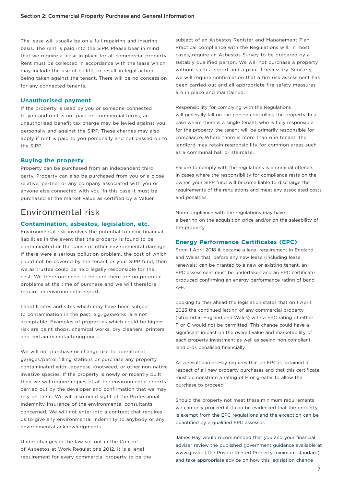The lease will usually be on a full repairing and insuring basis. The rent is paid into the SIPP. Please bear in mind that we require a lease in place for all commercial property. Rent must be collected in accordance with the lease which may include the use of bailiffs or result in legal action being taken against the tenant. There will be no concession for any connected tenants.

### **Unauthorised payment**

If the property is used by you or someone connected to you and rent is not paid on commercial terms, an unauthorised benefit tax charge may be levied against you personally and against the SIPP. These charges may also apply if rent is paid to you personally and not passed on to the SIPP.

## **Buying the property**

Property can be purchased from an independent third party. Property can also be purchased from you or a close relative, partner or any company associated with you or anyone else connected with you. In this case it must be purchased at the market value as certified by a Valuer.

## Environmental risk

## **Contamination, asbestos, legislation, etc.**

Environmental risk involves the potential to incur financial liabilities in the event that the property is found to be contaminated or the cause of other environmental damage. If there were a serious pollution problem, the cost of which could not be covered by the tenant or your SIPP fund, then we as trustee could be held legally responsible for the cost. We therefore need to be sure there are no potential problems at the time of purchase and we will therefore require an environmental report.

Landfill sites and sites which may have been subject to contamination in the past, e.g. gasworks, are not acceptable. Examples of properties which could be higher risk are paint shops, chemical works, dry cleaners, printers and certain manufacturing units.

We will not purchase or change use to operational garages/petrol filling stations or purchase any property contaminated with Japanese Knotweed, or other non-native invasive species. If the property is newly or recently built then we will require copies of all the environmental reports carried out by the developer and confirmation that we may rely on them. We will also need sight of the Professional Indemnity Insurance of the environmental consultants concerned. We will not enter into a contract that requires us to give any environmental indemnity to anybody or any environmental acknowledgments.

Under changes in the law set out in the Control of Asbestos at Work Regulations 2012, it is a legal requirement for every commercial property to be the subject of an Asbestos Register and Management Plan. Practical compliance with the Regulations will, in most cases, require an Asbestos Survey to be prepared by a suitably qualified person. We will not purchase a property without such a report and a plan, if necessary. Similarly, we will require confirmation that a fire risk assessment has been carried out and all appropriate fire safety measures are in place and maintained.

Responsibility for complying with the Regulations will generally fall on the person controlling the property. In a case where there is a single tenant, who is fully responsible for the property, the tenant will be primarily responsible for compliance. Where there is more than one tenant, the landlord may retain responsibility for common areas such as a communal hall or staircase.

Failure to comply with the regulations is a criminal offence. In cases where the responsibility for compliance rests on the owner, your SIPP fund will become liable to discharge the requirements of the regulations and meet any associated costs and penalties.

Non-compliance with the regulations may have a bearing on the acquisition price and/or on the saleability of the property.

## **Energy Performance Certificates (EPC)**

From 1 April 2018 it became a legal requirement in England and Wales that, before any new lease (including lease renewals) can be granted to a new or existing tenant, an EPC assessment must be undertaken and an EPC certificate produced confirming an energy performance rating of band A-E.

Looking further ahead the legislation states that on 1 April 2023 the continued letting of any commercial property (situated in England and Wales) with a EPC rating of either F or G would not be permitted. This change could have a significant impact on the overall value and marketability of each property investment as well as seeing non compliant landlords penalised financially.

As a result James Hay requires that an EPC is obtained in respect of all new property purchases and that this certificate must demonstrate a rating of E or greater to allow the purchase to proceed.

Should the property not meet these minimum requirements we can only proceed if it can be evidenced that the property is exempt from the EPC regulations and the exception can be quantified by a qualified EPC assessor.

James Hay would recommended that you and your financial adviser review the published government guidance available at [www.gov.uk](http://www.gov.uk ) (The Private Rented Property minimum standard) and take appropriate advice on how this legislation change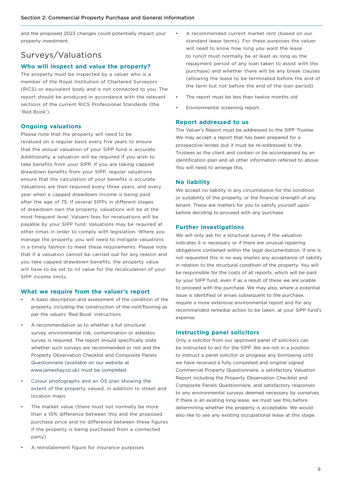and the proposed 2023 changes could potentially impact your property investment.

## Surveys/Valuations

## **Who will inspect and value the property?**

The property must be inspected by a valuer who is a member of the Royal Institution of Chartered Surveyors (RICS) or equivalent body and is not connected to you. The report should be produced in accordance with the relevant sections of the current RICS Professional Standards (the 'Red Book').

## **Ongoing valuations**

Please note that the property will need to be revalued on a regular basis every five years to ensure that the annual valuation of your SIPP fund is accurate. Additionally, a valuation will be required if you wish to take benefits from your SIPP. If you are taking capped drawdown benefits from your SIPP, regular valuations ensure that the calculation of your benefits is accurate. Valuations are then required every three years, and every year when a capped drawdown income is being paid after the age of 75. If several SIPPs in different stages of drawdown own the property, valuations will be at the most frequent level. Valuers fees for revaluations will be payable by your SIPP fund. Valuations may be required at other times in order to comply with legislation. Where you manage the property, you will need to instigate valuations in a timely fashion to meet these requirements. Please note that if a valuation cannot be carried out for any reason and you take capped drawdown benefits, the property value will have to be set to nil value for the recalculation of your SIPP income limits.

## **What we require from the valuer's report**

- A basic description and assessment of the condition of the property, including the construction of the roof/flooring as per the valuers 'Red Book' instructions
- A recommendation as to whether a full structural survey, environmental risk, contamination or asbestos survey is required. The report should specifically state whether such surveys are recommended or not and the Property Observation Checklist and Composite Panels Questionnaire (available on our website at [www.jameshay.co.uk](http://www.jameshay.co.uk)) must be completed
- Colour photographs and an OS plan showing the extent of the property valued, in addition to street and location maps
- The market value (there must not normally be more than a 10% difference between this and the proposed purchase price and no difference between these figures if the property is being purchased from a connected party)
- A recommended current market rent (based on our standard lease terms). For these purposes the valuer will need to know how long you want the lease to run(it must normally be at least as long as the repayment period of any loan taken to assist with the purchase) and whether there will be any break clauses (allowing the lease to be terminated before the end of the term but not before the end of the loan period)
- The report must be less than twelve months old
- Environmental screening report.

## **Report addressed to us**

The Valuer's Report must be addressed to the SIPP Trustee. We may accept a report that has been prepared for a prospective lender, but it must be re-addressed to the Trustees as the client and contain or be accompanied by an identification plan and all other information referred to above. You will need to arrange this.

## **No liability**

We accept no liability in any circumstance for the condition or suitability of the property, or the financial strength of any tenant. These are matters for you to satisfy yourself upon before deciding to proceed with any purchase.

## **Further investigations**

We will only ask for a structural survey if the valuation indicates it is necessary or if there are unusual repairing obligations contained within the legal documentation. If one is not requested this in no way implies any acceptance of liability in relation to the structural condition of the property. You will be responsible for the costs of all reports, which will be paid by your SIPP fund, even if as a result of these we are unable to proceed with the purchase. We may also, where a potential issue is identified or arises subsequent to the purchase. require a more extensive environmental report and for any recommended remedial action to be taken, at your SIPP fund's expense.

## **Instructing panel solicitors**

Only a solicitor from our approved panel of solicitors can be instructed to act for the SIPP. We are not in a position to instruct a panel solicitor or progress any borrowing until we have received a fully completed and original signed Commercial Property Questionnaire, a satisfactory Valuation Report including the Property Observation Checklist and Composite Panels Questionnaire, and satisfactory responses to any environmental surveys deemed necessary by ourselves. If there is an existing long lease, we must see this before determining whether the property is acceptable. We would also like to see any existing occupational lease at this stage.

A reinstatement figure for insurance purposes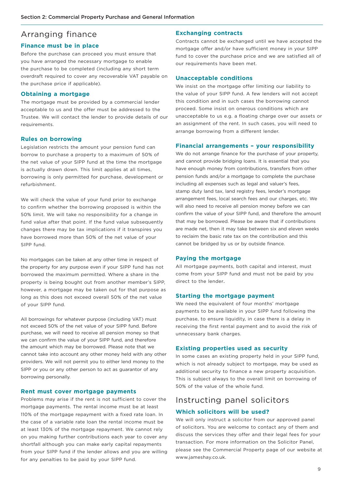## Arranging finance

## **Finance must be in place**

Before the purchase can proceed you must ensure that you have arranged the necessary mortgage to enable the purchase to be completed (including any short term overdraft required to cover any recoverable VAT payable on the purchase price if applicable).

## **Obtaining a mortgage**

The mortgage must be provided by a commercial lender acceptable to us and the offer must be addressed to the Trustee. We will contact the lender to provide details of our requirements.

### **Rules on borrowing**

Legislation restricts the amount your pension fund can borrow to purchase a property to a maximum of 50% of the net value of your SIPP fund at the time the mortgage is actually drawn down. This limit applies at all times, borrowing is only permitted for purchase, development or refurbishment.

We will check the value of your fund prior to exchange to confirm whether the borrowing proposed is within the 50% limit. We will take no responsibility for a change in fund value after that point. If the fund value subsequently changes there may be tax implications if it transpires you have borrowed more than 50% of the net value of your SIPP fund.

No mortgages can be taken at any other time in respect of the property for any purpose even if your SIPP fund has not borrowed the maximum permitted. Where a share in the property is being bought out from another member's SIPP, however, a mortgage may be taken out for that purpose as long as this does not exceed overall 50% of the net value of your SIPP fund.

All borrowings for whatever purpose (including VAT) must not exceed 50% of the net value of your SIPP fund. Before purchase, we will need to receive all pension money so that we can confirm the value of your SIPP fund, and therefore the amount which may be borrowed. Please note that we cannot take into account any other money held with any other providers. We will not permit you to either lend money to the SIPP or you or any other person to act as guarantor of any borrowing personally.

#### **Rent must cover mortgage payments**

Problems may arise if the rent is not sufficient to cover the mortgage payments. The rental income must be at least 110% of the mortgage repayment with a fixed rate loan. In the case of a variable rate loan the rental income must be at least 130% of the mortgage repayment. We cannot rely on you making further contributions each year to cover any shortfall although you can make early capital repayments from your SIPP fund if the lender allows and you are willing for any penalties to be paid by your SIPP fund.

## **Exchanging contracts**

Contracts cannot be exchanged until we have accepted the mortgage offer and/or have sufficient money in your SIPP fund to cover the purchase price and we are satisfied all of our requirements have been met.

## **Unacceptable conditions**

We insist on the mortgage offer limiting our liability to the value of your SIPP fund. A few lenders will not accept this condition and in such cases the borrowing cannot proceed. Some insist on onerous conditions which are unacceptable to us e.g. a floating charge over our assets or an assignment of the rent. In such cases, you will need to arrange borrowing from a different lender.

#### **Financial arrangements – your responsibility**

We do not arrange finance for the purchase of your property, and cannot provide bridging loans. It is essential that you have enough money from contributions, transfers from other pension funds and/or a mortgage to complete the purchase including all expenses such as legal and valuer's fees, stamp duty land tax, land registry fees, lender's mortgage arrangement fees, local search fees and our charges, etc. We will also need to receive all pension money before we can confirm the value of your SIPP fund, and therefore the amount that may be borrowed. Please be aware that if contributions are made net, then it may take between six and eleven weeks to reclaim the basic rate tax on the contribution and this cannot be bridged by us or by outside finance.

#### **Paying the mortgage**

All mortgage payments, both capital and interest, must come from your SIPP fund and must not be paid by you direct to the lender.

## **Starting the mortgage payment**

We need the equivalent of four months' mortgage payments to be available in your SIPP fund following the purchase, to ensure liquidity, in case there is a delay in receiving the first rental payment and to avoid the risk of unnecessary bank charges.

#### **Existing properties used as security**

In some cases an existing property held in your SIPP fund, which is not already subject to mortgage, may be used as additional security to finance a new property acquisition. This is subject always to the overall limit on borrowing of 50% of the value of the whole fund.

## Instructing panel solicitors

## **Which solicitors will be used?**

We will only instruct a solicitor from our approved panel of solicitors. You are welcome to contact any of them and discuss the services they offer and their legal fees for your transaction. For more information on the Solicitor Panel, please see the Commercial Property page of our website at [www.jameshay.co.uk.](http://www.jameshay.co.uk)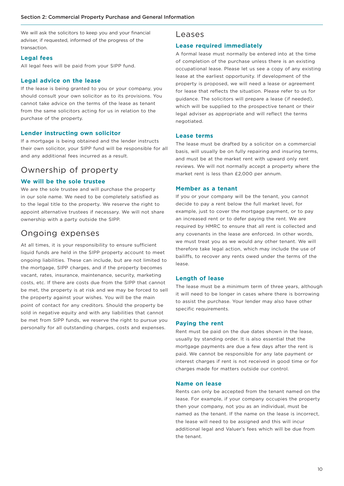We will ask the solicitors to keep you and your financial adviser, if requested, informed of the progress of the transaction.

## **Legal fees**

All legal fees will be paid from your SIPP fund.

## **Legal advice on the lease**

If the lease is being granted to you or your company, you should consult your own solicitor as to its provisions. You cannot take advice on the terms of the lease as tenant from the same solicitors acting for us in relation to the purchase of the property.

### **Lender instructing own solicitor**

If a mortgage is being obtained and the lender instructs their own solicitor, your SIPP fund will be responsible for all and any additional fees incurred as a result.

## Ownership of property

## **We will be the sole trustee**

We are the sole trustee and will purchase the property in our sole name. We need to be completely satisfied as to the legal title to the property. We reserve the right to appoint alternative trustees if necessary. We will not share ownership with a party outside the SIPP.

## Ongoing expenses

At all times, it is your responsibility to ensure sufficient liquid funds are held in the SIPP property account to meet ongoing liabilities. These can include, but are not limited to the mortgage, SIPP charges, and if the property becomes vacant, rates, insurance, maintenance, security, marketing costs, etc. If there are costs due from the SIPP that cannot be met, the property is at risk and we may be forced to sell the property against your wishes. You will be the main point of contact for any creditors. Should the property be sold in negative equity and with any liabilities that cannot be met from SIPP funds, we reserve the right to pursue you personally for all outstanding charges, costs and expenses.

## Leases

#### **Lease required immediately**

A formal lease must normally be entered into at the time of completion of the purchase unless there is an existing occupational lease. Please let us see a copy of any existing lease at the earliest opportunity. If development of the property is proposed, we will need a lease or agreement for lease that reflects the situation. Please refer to us for guidance. The solicitors will prepare a lease (if needed), which will be supplied to the prospective tenant or their legal adviser as appropriate and will reflect the terms negotiated.

## **Lease terms**

The lease must be drafted by a solicitor on a commercial basis, will usually be on fully repairing and insuring terms, and must be at the market rent with upward only rent reviews. We will not normally accept a property where the market rent is less than £2,000 per annum.

## **Member as a tenant**

If you or your company will be the tenant, you cannot decide to pay a rent below the full market level, for example, just to cover the mortgage payment, or to pay an increased rent or to defer paying the rent. We are required by HMRC to ensure that all rent is collected and any covenants in the lease are enforced. In other words, we must treat you as we would any other tenant. We will therefore take legal action, which may include the use of bailiffs, to recover any rents owed under the terms of the lease.

#### **Length of lease**

The lease must be a minimum term of three years, although it will need to be longer in cases where there is borrowing to assist the purchase. Your lender may also have other specific requirements.

#### **Paying the rent**

Rent must be paid on the due dates shown in the lease, usually by standing order. It is also essential that the mortgage payments are due a few days after the rent is paid. We cannot be responsible for any late payment or interest charges if rent is not received in good time or for charges made for matters outside our control.

#### **Name on lease**

Rents can only be accepted from the tenant named on the lease. For example, if your company occupies the property then your company, not you as an individual, must be named as the tenant. If the name on the lease is incorrect, the lease will need to be assigned and this will incur additional legal and Valuer's fees which will be due from the tenant.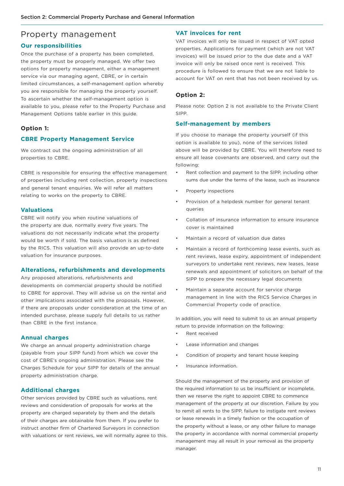## Property management

## **Our responsibilities**

Once the purchase of a property has been completed, the property must be properly managed. We offer two options for property management, either a management service via our managing agent, CBRE, or in certain limited circumstances, a self-management option whereby you are responsible for managing the property yourself. To ascertain whether the self-management option is available to you, please refer to the Property Purchase and Management Options table earlier in this guide.

## **Option 1:**

## **CBRE Property Management Service**

We contract out the ongoing administration of all properties to CBRE.

CBRE is responsible for ensuring the effective management of properties including rent collection, property inspections and general tenant enquiries. We will refer all matters relating to works on the property to CBRE.

## **Valuations**

CBRE will notify you when routine valuations of the property are due, normally every five years. The valuations do not necessarily indicate what the property would be worth if sold. The basis valuation is as defined by the RICS. This valuation will also provide an up-to-date valuation for insurance purposes.

## **Alterations, refurbishments and developments**

Any proposed alterations, refurbishments and developments on commercial property should be notified to CBRE for approval. They will advise us on the rental and other implications associated with the proposals. However, if there are proposals under consideration at the time of an intended purchase, please supply full details to us rather than CBRE in the first instance.

## **Annual charges**

We charge an annual property administration charge (payable from your SIPP fund) from which we cover the cost of CBRE's ongoing administration. Please see the Charges Schedule for your SIPP for details of the annual property administration charge.

## **Additional charges**

Other services provided by CBRE such as valuations, rent reviews and consideration of proposals for works at the property are charged separately by them and the details of their charges are obtainable from them. If you prefer to instruct another firm of Chartered Surveyors in connection with valuations or rent reviews, we will normally agree to this.

## **VAT invoices for rent**

VAT invoices will only be issued in respect of VAT opted properties. Applications for payment (which are not VAT invoices) will be issued prior to the due date and a VAT invoice will only be raised once rent is received. This procedure is followed to ensure that we are not liable to account for VAT on rent that has not been received by us.

## **Option 2:**

Please note: Option 2 is not available to the Private Client SIPP.

## **Self-management by members**

If you choose to manage the property yourself (if this option is available to you), none of the services listed above will be provided by CBRE. You will therefore need to ensure all lease covenants are observed, and carry out the following:

- Rent collection and payment to the SIPP, including other sums due under the terms of the lease, such as insurance
- Property inspections
- Provision of a helpdesk number for general tenant queries
- Collation of insurance information to ensure insurance cover is maintained
- Maintain a record of valuation due dates
- Maintain a record of forthcoming lease events, such as rent reviews, lease expiry, appointment of independent surveyors to undertake rent reviews, new leases, lease renewals and appointment of solicitors on behalf of the SIPP to prepare the necessary legal documents
- Maintain a separate account for service charge management in line with the RICS Service Charges in Commercial Property code of practice.

In addition, you will need to submit to us an annual property return to provide information on the following:

- Rent received
- Lease information and changes
- Condition of property and tenant house keeping
- Insurance information.

Should the management of the property and provision of the required information to us be insufficient or incomplete, then we reserve the right to appoint CBRE to commence management of the property at our discretion. Failure by you to remit all rents to the SIPP, failure to instigate rent reviews or lease renewals in a timely fashion or the occupation of the property without a lease, or any other failure to manage the property in accordance with normal commercial property management may all result in your removal as the property manager.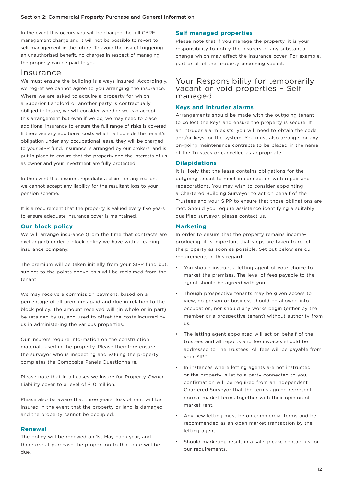In the event this occurs you will be charged the full CBRE management charge and it will not be possible to revert to self-management in the future. To avoid the risk of triggering an unauthorised benefit, no charges in respect of managing the property can be paid to you.

## Insurance

We must ensure the building is always insured. Accordingly, we regret we cannot agree to you arranging the insurance. Where we are asked to acquire a property for which a Superior Landlord or another party is contractually obliged to insure, we will consider whether we can accept this arrangement but even if we do, we may need to place additional insurance to ensure the full range of risks is covered. If there are any additional costs which fall outside the tenant's obligation under any occupational lease, they will be charged to your SIPP fund. Insurance is arranged by our brokers, and is put in place to ensure that the property and the interests of us as owner and your investment are fully protected.

In the event that insurers repudiate a claim for any reason, we cannot accept any liability for the resultant loss to your pension scheme.

It is a requirement that the property is valued every five years to ensure adequate insurance cover is maintained.

## **Our block policy**

We will arrange insurance (from the time that contracts are exchanged) under a block policy we have with a leading insurance company.

The premium will be taken initially from your SIPP fund but, subject to the points above, this will be reclaimed from the tenant.

We may receive a commission payment, based on a percentage of all premiums paid and due in relation to the block policy. The amount received will (in whole or in part) be retained by us, and used to offset the costs incurred by us in administering the various properties.

Our insurers require information on the construction materials used in the property. Please therefore ensure the surveyor who is inspecting and valuing the property completes the Composite Panels Questionnaire.

Please note that in all cases we insure for Property Owner Liability cover to a level of £10 million.

Please also be aware that three years' loss of rent will be insured in the event that the property or land is damaged and the property cannot be occupied.

## **Renewal**

The policy will be renewed on 1st May each year, and therefore at purchase the proportion to that date will be due.

## **Self managed properties**

Please note that if you manage the property, it is your responsibility to notify the insurers of any substantial change which may affect the insurance cover. For example, part or all of the property becoming vacant.

## Your Responsibility for temporarily vacant or void properties – Self managed

## **Keys and intruder alarms**

Arrangements should be made with the outgoing tenant to collect the keys and ensure the property is secure. If an intruder alarm exists, you will need to obtain the code and/or keys for the system. You must also arrange for any on-going maintenance contracts to be placed in the name of the Trustees or cancelled as appropriate.

## **Dilapidations**

It is likely that the lease contains obligations for the outgoing tenant to meet in connection with repair and redecorations. You may wish to consider appointing a Chartered Building Surveyor to act on behalf of the Trustees and your SIPP to ensure that those obligations are met. Should you require assistance identifying a suitably qualified surveyor, please contact us.

## **Marketing**

In order to ensure that the property remains incomeproducing, it is important that steps are taken to re-let the property as soon as possible. Set out below are our requirements in this regard:

- You should instruct a letting agent of your choice to market the premises. The level of fees payable to the agent should be agreed with you.
- Though prospective tenants may be given access to view, no person or business should be allowed into occupation, nor should any works begin (either by the member or a prospective tenant) without authority from us.
- The letting agent appointed will act on behalf of the trustees and all reports and fee invoices should be addressed to The Trustees. All fees will be payable from your SIPP.
- In instances where letting agents are not instructed or the property is let to a party connected to you, confirmation will be required from an independent Chartered Surveyor that the terms agreed represent normal market terms together with their opinion of market rent.
- Any new letting must be on commercial terms and be recommended as an open market transaction by the letting agent.
- Should marketing result in a sale, please contact us for our requirements.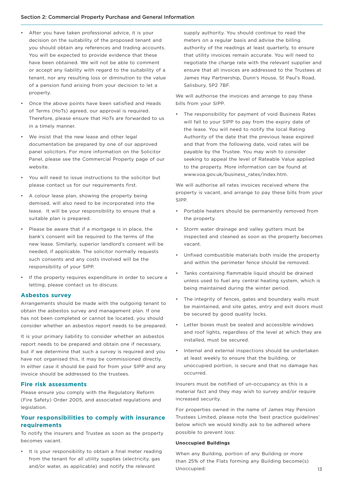- After you have taken professional advice, it is your decision on the suitability of the proposed tenant and you should obtain any references and trading accounts. You will be expected to provide evidence that these have been obtained. We will not be able to comment or accept any liability with regard to the suitability of a tenant, nor any resulting loss or diminution to the value of a pension fund arising from your decision to let a property.
- Once the above points have been satisfied and Heads of Terms (HoTs) agreed, our approval is required. Therefore, please ensure that HoTs are forwarded to us in a timely manner.
- We insist that the new lease and other legal documentation be prepared by one of our approved panel solicitors. For more information on the Solicitor Panel, please see the Commercial Property page of our website.
- You will need to issue instructions to the solicitor but please contact us for our requirements first.
- A colour lease plan, showing the property being demised, will also need to be incorporated into the lease. It will be your responsibility to ensure that a suitable plan is prepared.
- Please be aware that if a mortgage is in place, the bank's consent will be required to the terms of the new lease. Similarly, superior landlord's consent will be needed, if applicable. The solicitor normally requests such consents and any costs involved will be the responsibility of your SIPP.
- If the property requires expenditure in order to secure a letting, please contact us to discuss.

## **Asbestos survey**

Arrangements should be made with the outgoing tenant to obtain the asbestos survey and management plan. If one has not been completed or cannot be located, you should consider whether an asbestos report needs to be prepared.

It is your primary liability to consider whether an asbestos report needs to be prepared and obtain one if necessary, but if we determine that such a survey is required and you have not organised this, it may be commissioned directly. In either case it should be paid for from your SIPP and any invoice should be addressed to the trustees.

## **Fire risk assessments**

Please ensure you comply with the Regulatory Reform (Fire Safety) Order 2005, and associated regulations and legislation.

## **Your responsibilities to comply with insurance requirements**

To notify the insurers and Trustee as soon as the property becomes vacant.

• It is your responsibility to obtain a final meter reading from the tenant for all utility supplies (electricity, gas and/or water, as applicable) and notify the relevant

supply authority. You should continue to read the meters on a regular basis and advise the billing authority of the readings at least quarterly, to ensure that utility invoices remain accurate. You will need to negotiate the charge rate with the relevant supplier and ensure that all invoices are addressed to the Trustees at James Hay Partnership, Dunn's House, St Paul's Road, Salisbury, SP2 7BF.

We will authorise the invoices and arrange to pay these bills from your SIPP.

The responsibility for payment of void Business Rates will fall to your SIPP to pay from the expiry date of the lease. You will need to notify the local Rating Authority of the date that the previous lease expired and that from the following date, void rates will be payable by the Trustee. You may wish to consider seeking to appeal the level of Rateable Value applied to the property. More information can be found at www.voa.gov.uk/business\_rates/index.htm.

We will authorise all rates invoices received where the property is vacant, and arrange to pay these bills from your SIPP.

- Portable heaters should be permanently removed from the property.
- Storm water drainage and valley gutters must be inspected and cleaned as soon as the property becomes vacant.
- Unfixed combustible materials both inside the property and within the perimeter fence should be removed.
- Tanks containing flammable liquid should be drained unless used to fuel any central heating system, which is being maintained during the winter period.
- The integrity of fences, gates and boundary walls must be maintained, and site gates, entry and exit doors must be secured by good quality locks.
- Letter boxes must be sealed and accessible windows and roof lights, regardless of the level at which they are installed, must be secured.
- Internal and external inspections should be undertaken at least weekly to ensure that the building, or unoccupied portion, is secure and that no damage has occurred.

Insurers must be notified of un-occupancy as this is a material fact and they may wish to survey and/or require increased security.

For properties owned in the name of James Hay Pension Trustees Limited, please note the 'best practice guidelines' below which we would kindly ask to be adhered where possible to prevent loss:

#### **Unoccupied Buildings**

When any Building, portion of any Building or more than 25% of the Flats forming any Building become(s) Unoccupied: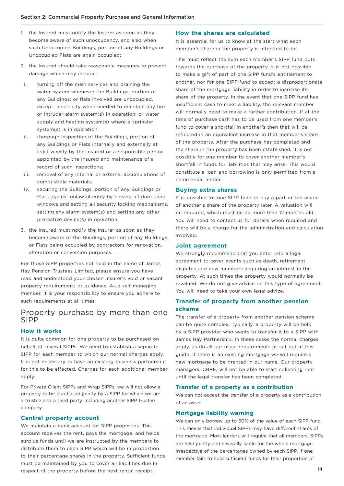- 1. the Insured must notify the Insurer as soon as they become aware of such unoccupancy, and also when such Unoccupied Buildings, portion of any Buildings or Unoccupied Flats are again occupied;
- 2. the Insured should take reasonable measures to prevent damage which may include:
- i. turning off the main services and draining the water system whenever the Buildings, portion of any Buildings; or flats involved are unoccupied, except: electricity when needed to maintain any fire or intruder alarm system(s) in operation; or water supply and heating system(s) where a sprinkler system(s) is in operation;
- ii. thorough inspection of the Buildings, portion of any Buildings or Flats internally and externally at least weekly by the Insured or a responsible person appointed by the Insured and maintenance of a record of such inspections;
- iii. removal of any internal or external accumulations of combustible materials;
- iv. securing the Buildings, portion of any Buildings or Flats against unlawful entry by closing all doors and windows and setting all security locking mechanisms, setting any alarm system(s) and setting any other protective device(s) in operation.
- 3. the Insured must notify the Insurer as soon as they become aware of the Buildings, portion of any Buildings or Flats being occupied by contractors for renovation, alteration or conversion purposes.

For those SIPP properties not held in the name of James Hay Pension Trustees Limited, please ensure you have read and understood your chosen insurer's void or vacant property requirements or guidance. As a self-managing member, it is your responsibility to ensure you adhere to such requirements at all times.

## Property purchase by more than one SIPP

## **How it works**

It is quite common for one property to be purchased on behalf of several SIPPs. We need to establish a separate SIPP for each member to which our normal charges apply. It is not necessary to have an existing business partnership for this to be effected. Charges for each additional member apply.

For Private Client SIPPs and Wrap SIPPs, we will not allow a property to be purchased jointly by a SIPP for which we are a trustee and a third party, including another SIPP trustee company.

## **Central property account**

We maintain a bank account for SIPP properties. This account receives the rent, pays the mortgage, and holds surplus funds until we are instructed by the members to distribute them to each SIPP which will be in proportion to their percentage shares in the property. Sufficient funds must be maintained by you to cover all liabilities due in respect of the property before the next rental receipt.

#### **How the shares are calculated**

It is essential for us to know at the start what each member's share in the property is intended to be.

This must reflect the sum each member's SIPP fund puts towards the purchase of the property. It is not possible to make a gift of part of one SIPP fund's entitlement to another, nor for one SIPP fund to accept a disproportionate share of the mortgage liability in order to increase its share of the property. In the event that one SIPP fund has insufficient cash to meet a liability, the relevant member will normally need to make a further contribution. If at the time of purchase cash has to be used from one member's fund to cover a shortfall in another's then that will be reflected in an equivalent increase in that member's share of the property. After the purchase has completed and the share in the property has been established, it is not possible for one member to cover another member's shortfall in funds for liabilities that may arise. This would constitute a loan and borrowing is only permitted from a commercial lender.

## **Buying extra shares**

It is possible for one SIPP fund to buy a part or the whole of another's share of the property later. A valuation will be required, which must be no more than 12 months old. You will need to contact us for details when required and there will be a charge for the administration and calculation involved.

## **Joint agreement**

We strongly recommend that you enter into a legal agreement to cover events such as death, retirement, disputes and new members acquiring an interest in the property. At such times the property would normally be revalued. We do not give advice on this type of agreement. You will need to take your own legal advice.

## **Transfer of property from another pension scheme**

The transfer of a property from another pension scheme can be quite complex. Typically, a property will be held by a SIPP provider who wants to transfer it to a SIPP with James Hay Partnership. In these cases the normal charges apply, as do all our usual requirements as set out in this guide. If there is an existing mortgage we will require a new mortgage to be granted in our name. Our property managers, CBRE, will not be able to start collecting rent until the legal transfer has been completed.

## **Transfer of a property as a contribution**

We can not accept the transfer of a property as a contribution of an asset.

## **Mortgage liability warning**

We can only borrow up to 50% of the value of each SIPP fund. This means that individual SIPPs may have different shares of the mortgage. Most lenders will require that all members' SIPPs are held jointly and severally liable for the whole mortgage irrespective of the percentages owned by each SIPP. If one member fails to hold sufficient funds for their proportion of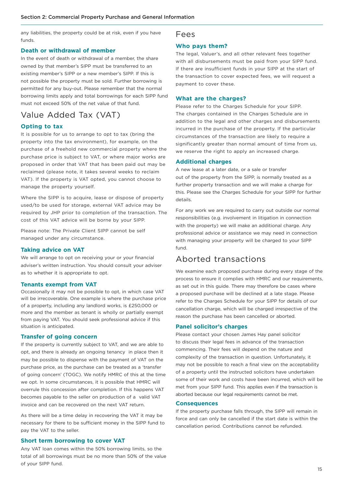any liabilities, the property could be at risk, even if you have funds.

## **Death or withdrawal of member**

In the event of death or withdrawal of a member, the share owned by that member's SIPP must be transferred to an existing member's SIPP or a new member's SIPP. If this is not possible the property must be sold. Further borrowing is permitted for any buy-out. Please remember that the normal borrowing limits apply and total borrowings for each SIPP fund must not exceed 50% of the net value of that fund.

## Value Added Tax (VAT)

## **Opting to tax**

It is possible for us to arrange to opt to tax (bring the property into the tax environment), for example, on the purchase of a freehold new commercial property where the purchase price is subject to VAT, or where major works are proposed in order that VAT that has been paid out may be reclaimed (please note, it takes several weeks to reclaim VAT). If the property is VAT opted, you cannot choose to manage the property yourself.

Where the SIPP is to acquire, lease or dispose of property used/to be used for storage, external VAT advice may be required by JHP prior to completion of the transaction. The cost of this VAT advice will be borne by your SIPP.

Please note: The Private Client SIPP cannot be self managed under any circumstance.

## **Taking advice on VAT**

We will arrange to opt on receiving your or your financial adviser's written instruction. You should consult your adviser as to whether it is appropriate to opt.

#### **Tenants exempt from VAT**

Occasionally it may not be possible to opt, in which case VAT will be irrecoverable. One example is where the purchase price of a property, including any landlord works, is £250,000 or more and the member as tenant is wholly or partially exempt from paying VAT. You should seek professional advice if this situation is anticipated.

## **Transfer of going concern**

If the property is currently subject to VAT, and we are able to opt, and there is already an ongoing tenancy in place then it may be possible to dispense with the payment of VAT on the purchase price, as the purchase can be treated as a 'transfer of going concern' (TOGC). We notify HMRC of this at the time we opt. In some circumstances, it is possible that HMRC will overrule this concession after completion. If this happens VAT becomes payable to the seller on production of a valid VAT invoice and can be recovered on the next VAT return.

As there will be a time delay in recovering the VAT it may be necessary for there to be sufficient money in the SIPP fund to pay the VAT to the seller.

## **Short term borrowing to cover VAT**

Any VAT loan comes within the 50% borrowing limits, so the total of all borrowings must be no more than 50% of the value of your SIPP fund.

## Fees

#### **Who pays them?**

The legal, Valuer's, and all other relevant fees together with all disbursements must be paid from your SIPP fund. If there are insufficient funds in your SIPP at the start of the transaction to cover expected fees, we will request a payment to cover these.

## **What are the charges?**

Please refer to the Charges Schedule for your SIPP. The charges contained in the Charges Schedule are in addition to the legal and other charges and disbursements incurred in the purchase of the property. If the particular circumstances of the transaction are likely to require a significantly greater than normal amount of time from us, we reserve the right to apply an increased charge.

## **Additional charges**

A new lease at a later date, or a sale or transfer out of the property from the SIPP, is normally treated as a further property transaction and we will make a charge for this. Please see the Charges Schedule for your SIPP for further details.

For any work we are required to carry out outside our normal responsibilities (e.g. involvement in litigation in connection with the property) we will make an additional charge. Any professional advice or assistance we may need in connection with managing your property will be charged to your SIPP fund.

## Aborted transactions

We examine each proposed purchase during every stage of the process to ensure it complies with HMRC and our requirements, as set out in this guide. There may therefore be cases where a proposed purchase will be declined at a late stage. Please refer to the Charges Schedule for your SIPP for details of our cancellation charge, which will be charged irrespective of the reason the purchase has been cancelled or aborted.

#### **Panel solicitor's charges**

Please contact your chosen James Hay panel solicitor to discuss their legal fees in advance of the transaction commencing. Their fees will depend on the nature and complexity of the transaction in question. Unfortunately, it may not be possible to reach a final view on the acceptability of a property until the instructed solicitors have undertaken some of their work and costs have been incurred, which will be met from your SIPP fund. This applies even if the transaction is aborted because our legal requirements cannot be met.

## **Consequences**

If the property purchase falls through, the SIPP will remain in force and can only be cancelled if the start date is within the cancellation period. Contributions cannot be refunded.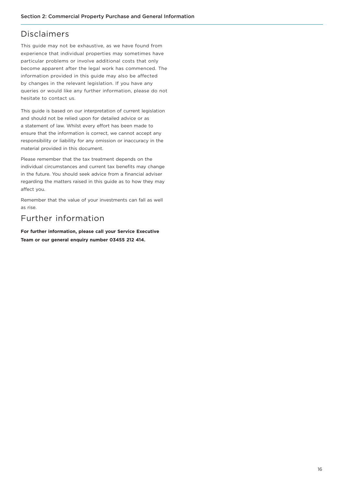## Disclaimers

This guide may not be exhaustive, as we have found from experience that individual properties may sometimes have particular problems or involve additional costs that only become apparent after the legal work has commenced. The information provided in this guide may also be affected by changes in the relevant legislation. If you have any queries or would like any further information, please do not hesitate to contact us.

This guide is based on our interpretation of current legislation and should not be relied upon for detailed advice or as a statement of law. Whilst every effort has been made to ensure that the information is correct, we cannot accept any responsibility or liability for any omission or inaccuracy in the material provided in this document.

Please remember that the tax treatment depends on the individual circumstances and current tax benefits may change in the future. You should seek advice from a financial adviser regarding the matters raised in this guide as to how they may affect you.

Remember that the value of your investments can fall as well as rise.

## Further information

**For further information, please call your Service Executive Team or our general enquiry number 03455 212 414.**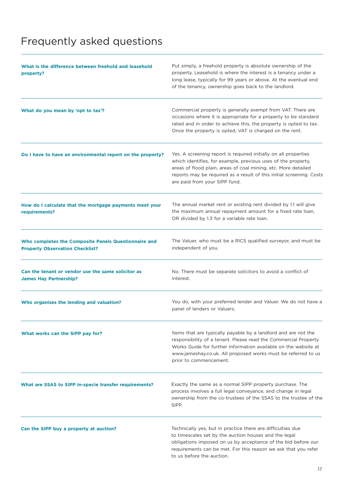# Frequently asked questions

| What is the difference between freehold and leasehold<br>property?                             | Put simply, a freehold property is absolute ownership of the<br>property. Leasehold is where the interest is a tenancy under a<br>long lease, typically for 99 years or above. At the eventual end<br>of the tenancy, ownership goes back to the landlord.                                                  |
|------------------------------------------------------------------------------------------------|-------------------------------------------------------------------------------------------------------------------------------------------------------------------------------------------------------------------------------------------------------------------------------------------------------------|
| What do you mean by 'opt to tax'?                                                              | Commercial property is generally exempt from VAT. There are<br>occasions where it is appropriate for a property to be standard<br>rated and in order to achieve this, the property is opted to tax.<br>Once the property is opted, VAT is charged on the rent.                                              |
| Do I have to have an environmental report on the property?                                     | Yes. A screening report is required initially on all properties<br>which identifies, for example, previous uses of the property,<br>areas of flood plain, areas of coal mining, etc. More detailed<br>reports may be required as a result of this initial screening. Costs<br>are paid from your SIPP fund. |
| How do I calculate that the mortgage payments meet your<br>requirements?                       | The annual market rent or existing rent divided by 1.1 will give<br>the maximum annual repayment amount for a fixed rate loan,<br>OR divided by 1.3 for a variable rate loan.                                                                                                                               |
| Who completes the Composite Panels Questionnaire and<br><b>Property Observation Checklist?</b> | The Valuer, who must be a RICS qualified surveyor, and must be<br>independent of you.                                                                                                                                                                                                                       |
| Can the tenant or vendor use the same solicitor as<br><b>James Hay Partnership?</b>            | No. There must be separate solicitors to avoid a conflict of<br>interest.                                                                                                                                                                                                                                   |
| Who organises the lending and valuation?                                                       | You do, with your preferred lender and Valuer. We do not have a<br>panel of lenders or Valuers.                                                                                                                                                                                                             |
| What works can the SIPP pay for?                                                               | Items that are typically payable by a landlord and are not the<br>responsibility of a tenant. Please read the Commercial Property<br>Works Guide for further information available on the website at<br>www.jameshay.co.uk. All proposed works must be referred to us<br>prior to commencement.             |
| What are SSAS to SIPP in-specie transfer requirements?                                         | Exactly the same as a normal SIPP property purchase. The<br>process involves a full legal conveyance, and change in legal<br>ownership from the co-trustees of the SSAS to the trustee of the<br>SIPP.                                                                                                      |
| Can the SIPP buy a property at auction?                                                        | Technically yes, but in practice there are difficulties due<br>to timescales set by the auction houses and the legal<br>obligations imposed on us by acceptance of the bid before our<br>requirements can be met. For this reason we ask that you refer<br>to us before the auction.                        |